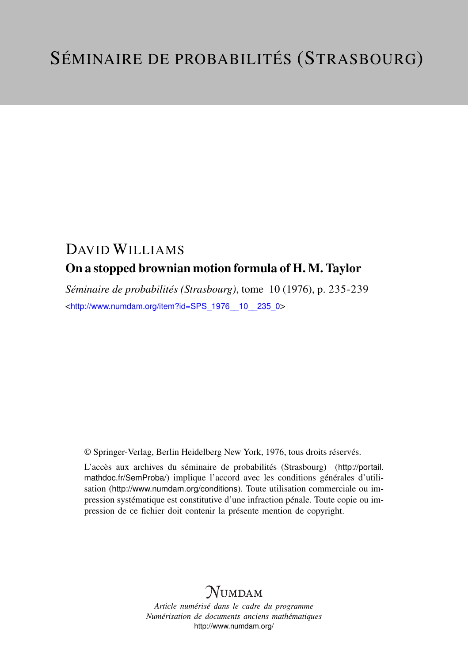## DAVID WILLIAMS On a stopped brownian motion formula of H. M. Taylor

*Séminaire de probabilités (Strasbourg)*, tome 10 (1976), p. 235-239 <[http://www.numdam.org/item?id=SPS\\_1976\\_\\_10\\_\\_235\\_0](http://www.numdam.org/item?id=SPS_1976__10__235_0)>

© Springer-Verlag, Berlin Heidelberg New York, 1976, tous droits réservés.

L'accès aux archives du séminaire de probabilités (Strasbourg) ([http://portail.](http://portail.mathdoc.fr/SemProba/) [mathdoc.fr/SemProba/](http://portail.mathdoc.fr/SemProba/)) implique l'accord avec les conditions générales d'utilisation (<http://www.numdam.org/conditions>). Toute utilisation commerciale ou impression systématique est constitutive d'une infraction pénale. Toute copie ou impression de ce fichier doit contenir la présente mention de copyright.

# **NUMDAM**

*Article numérisé dans le cadre du programme Numérisation de documents anciens mathématiques* <http://www.numdam.org/>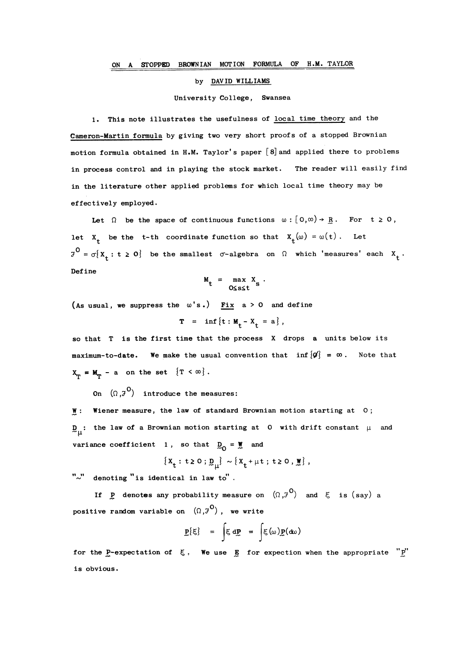## by DAVID WILLIAMS

### University College, Swansea

1. This note illustrates the usefulness of local time theory and the Cameron-Martin formula by giving two very short proofs of a stopped Brownian motion formula obtained in H.M. Taylor's paper  $[8]$  and applied there to problems in process control and in playing the stock market. The reader will easily find in the literature other applied problems for which local time theory may be effectively employed.

Let  $\Omega$  be the space of continuous functions  $\omega : [0,\infty) \rightarrow R$ . For  $t \ge 0$ , let  $X_t$  be the t-th coordinate function so that  $X_t(\omega) = \omega(t)$ . Let  $7^0 = \sigma\{x_t : t \ge 0\}$  be the smallest  $\sigma$ -algebra on  $\Omega$  which 'measures' each  $x_t$ . Define

$$
M_t = \max_{0 \le s \le t} X_s.
$$

(As usual, we suppress the  $\omega$ 's.) Fix a > 0 and define

$$
T = \inf \{t : M_{+} - X_{+} = a\},
$$

so that T is the first time that the process X drops a units below its maximum-to-date. We make the usual convention that inf  ${Q}^{\prime}$  =  $\infty$ . Note that  $X_{\tau} = M_{\tau}$  - a on the set  $\{T < \infty\}$ .

On  $(\Omega, \mathcal{J}^0)$  introduce the measures:

W: Wiener measure, the law of standard Brownian motion starting at 0;  $D_{\text{max}}$ : the law of a Brownian motion starting at 0 with drift constant  $\mu$  and variance coefficient 1, so that  $D_{\Omega} = \mathbf{W}$  and

$$
\{x_t: t \geq 0: \underline{p}_\mu\} \sim \{x_t + \mu t: t \geq 0, \underline{w}\},
$$

 $"\sim"$  denoting "is identical in law to".

If P denotes any probability measure on  $(\Omega, \mathcal{J}^0)$  and  $\xi$  is (say) a positive random variable on  $(\Omega, \mathcal{F}^0)$ , we write

$$
\mathbf{P}\{\xi\} = \int \xi \, d\mathbf{P} = \int \xi(\omega) \mathbf{P}(\mathbf{d}\omega)
$$

for the P-expectation of  $\xi$ . We use  $g$  for expection when the appropriate "P" is obvious.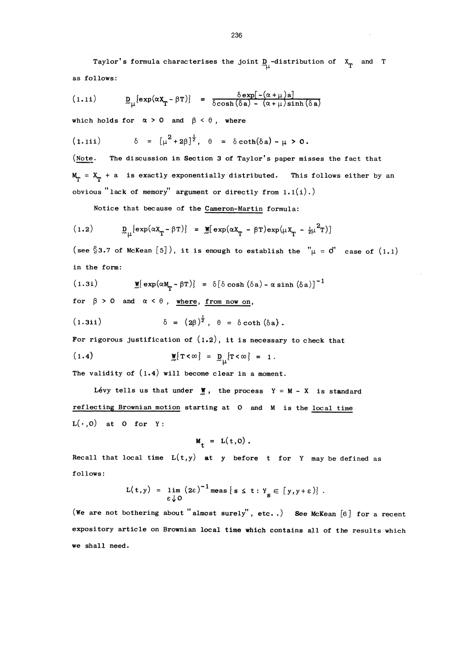Taylor's formula characterises the joint  $D_{11}$ -distribution of  $X_{T}$  and T as follows:

$$
(1.11) \t D\mu{exp(\alpha XT - \beta T)} = \frac{\delta exp[-(\alpha + \mu)a]}{\delta cosh(\delta a) - (\alpha + \mu)sinh(\delta a)}
$$

which holds for  $\alpha > 0$  and  $\beta < \theta$ , where

$$
(1.111) \qquad \delta = \left[\mu^2 + 2\beta\right]^{\frac{1}{2}}, \quad \theta = \delta \coth(\delta a) - \mu > 0.
$$

(Note. The discussion in Section 3 of Taylor's paper misses the fact that  $M_T = X_T + a$  is exactly exponentially distributed. This follows either by an obvious "lack of memory" argument or directly from  $1.1(i)$ .)

Notice that bec ause of the Cameron-Martin formula:

$$
(1.2) \qquad \qquad \underline{D}_{\mu} \{ \exp(\alpha x_{T} - \beta T) \} = \underline{W} [\exp(\alpha x_{T} - \beta T) \exp(\mu x_{T} - \frac{1}{2} \mu^{2} T)]
$$

(see §3.7 of McKean [5]), it is enough to establish the " $\mu = 0$ " case of (1.1) in the form:

(l.3i) 03B4[03B4 cosh (8a) - a sinh (03B4a)]-1

for  $\beta > 0$  and  $\alpha < \theta$ , where, from now on,

(1.3i) 
$$
\delta = (2\beta)^{\frac{1}{2}}, \theta = \delta \coth (\delta a).
$$

For rigorous justification of  $(1.2)$ , it is necessary to check that

(1.4)  $\mathbf{M} \{ T < \infty \} = D_{11} \{ T < \infty \} = 1.$ 

The validity of  $(1.4)$  will become clear in a moment.

Levy tells us that under  $\mathbf{W}$ , the process Y = M - X is standard reflecting Brownian motion starting at 0 and M is the local time  $L(\cdot, 0)$  at 0 for Y:

$$
M_t = L(t,0).
$$

Recall that local time  $L(t,y)$  at y before t for Y may be defined as follows:

$$
L(t,y) = \lim_{\varepsilon \downarrow 0} (2\varepsilon)^{-1} \text{meas}\{s \leq t : Y_{s} \in [y,y+\varepsilon)\}.
$$

(We are not bothering about "almost surely", etc..) See McKean [6] for a recent expository article on Brownian local time which contains all of the results which we shall need.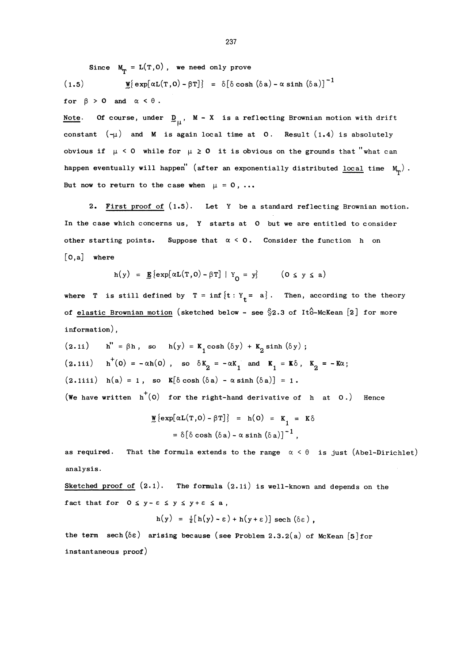Since  $M_{\text{m}} = L(T, 0)$ , we need only prove  $(1.5)$   $W\{exp[\alpha L(T, 0) - \beta T]\} = \delta[\delta \cosh(\delta a) - \alpha \sinh(\delta a)]^{-1}$ 

(1.5) 
$$
\mathbf{M} \{ \exp[\alpha L(T, U) - pT] \} = 0 [0 \cosh(0a) - \alpha s]
$$

for  $\beta > 0$  and  $\alpha < \theta$ .

Note. Of course, under  $D_{11}$ , M - X is a reflecting Brownian motion with drift constant  $(-\mu)$  and M is again local time at 0. Result  $(1.4)$  is absolutely obvious if  $\mu < 0$  while for  $\mu \ge 0$  it is obvious on the grounds that "what can happen eventually will happen" (after an exponentially distributed local time  $M_{\textrm{m}}$ ). But now to return to the case when  $\mu = 0, ...$ 

2. First proof of  $(1.5)$ . Let Y be a standard reflecting Brownian motion. In the case which concerns us, Y starts at 0 but we are entitled to consider other starting points. Suppose that  $\alpha < 0$ . Consider the function h on [O,a] where

$$
h(y) = \mathbf{g}\left\{ \exp[\alpha L(T,0) - \beta T] \mid Y_0 = y \right\} \qquad (0 \le y \le a)
$$

where T is still defined by  $T = \inf \{t : Y_t = a\}$ . Then, according to the theory of elastic Brownian motion (sketched below - see  $\S$ 2.3 of Itô-McKean [2] for more information) ,

(2.1i)  $h'' = \beta h$ , so  $h(y) = K_1 \cosh (\delta y) + K_2 \sinh (\delta y)$ ;  $(2.1i)$  h<sup>+</sup>(0) = -  $\alpha h(0)$ , so  $\delta K_2 = -\alpha K_1$  and  $K_1 = K\delta$ ,  $K_2 = -K\alpha$ ;  $(2.1iii)$  h(a) = 1, so  $K[\delta \cosh (\delta a) - \alpha \sinh (\delta a)] = 1$ . (We have written  $h^+(0)$  for the right-hand derivative of h at 0.) Hence

$$
\mathbf{M} \{\exp[\alpha \mathbf{L}(\mathbf{T}, \mathbf{O}) - \beta \mathbf{T}]\} = \mathbf{h}(\mathbf{O}) = \mathbf{K}_1 = \mathbf{K}\delta
$$

$$
= \delta[\delta \cosh(\delta \mathbf{a}) - \alpha \sinh(\delta \mathbf{a})]^{-1},
$$

as required. That the formula extends to the range  $\alpha < \theta$  is just (Abel-Dirichlet) analysis.

Sketched proof of  $(2.1)$ . The formula  $(2.1i)$  is well-known and depends on the fact that for  $0 \le y - \varepsilon \le y \le y + \varepsilon \le a$ ,

$$
h(y) = \frac{1}{2}[h(y) - \epsilon] + h(y + \epsilon)] \text{ sech}(\delta \epsilon),
$$

the term sech( $\delta \varepsilon$ ) arising because (see Problem 2.3.2(a) of McKean [5] for instantaneous proof)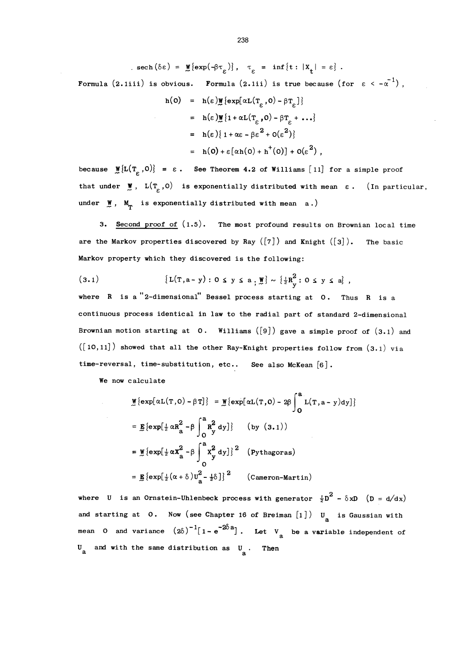$$
\text{sech}(\delta \varepsilon) = \mathbf{M} \{ \exp(-\beta \tau_{\varepsilon}) \}, \quad \tau_{\varepsilon} = \inf \{ t : |X_t| = \varepsilon \}.
$$

Formula (2.1iii) is obvious. Formula (2.1ii) is true because (for  $\varepsilon < -\alpha^{-1}$ ),

$$
h(0) = h(\varepsilon) \underline{w} \{ \exp[\alpha L(T_{\varepsilon}, 0) - \beta T_{\varepsilon}] \}
$$
  
\n
$$
= h(\varepsilon) \underline{w} \{ 1 + \alpha L(T_{\varepsilon}, 0) - \beta T_{\varepsilon} + ... \}
$$
  
\n
$$
= h(\varepsilon) \{ 1 + \alpha \varepsilon - \beta \varepsilon^2 + O(\varepsilon^2) \}
$$
  
\n
$$
= h(0) + \varepsilon [\alpha h(0) + h^+(0)] + O(\varepsilon^2)
$$

because  $\mathcal{M}\{\mathbf{L}(\mathbf{T}_{\rho},0)\} = \varepsilon$ . See Theorem 4.2 of Williams [11] for a simple proof that under  $\mathbf{W}$ ,  $\mathbf{L}(\mathbf{T}_c, \mathbf{0})$  is exponentially distributed with mean  $\epsilon$ . (In particular, under  $M_{\textrm{m}}$ ,  $M_{\textrm{m}}$  is exponentially distributed with mean a.)

3. Second proof of  $(1.5)$ . The most profound results on Brownian local time are the Markov properties discovered by Ray  $([7])$  and Knight  $([3])$ . The basic Markov property which they discovered is the following:

(3.1) 
$$
\{L(T, a - y) : 0 \le y \le a, \frac{w}{x}\} \sim \{\frac{1}{2}R_y^2 : 0 \le y \le a\},
$$

where  $R$  is a "2-dimensional" Bessel process starting at  $0$ . Thus  $R$  is a continuous process identical in law to the radial part of standard 2-dimensional Brownian motion starting at  $0$ . Williams ([9]) gave a simple proof of  $(3.1)$  and  $([10,11]~)$  showed that all the other Ray-Knight properties follow from  $(3.1)$  via time-reversal, time-substitution, etc.. See also McKean  $[6]$ .

We now calculate

$$
\mathbf{M} \{\exp[\alpha L(T,0) - \beta T]\} = \mathbf{M} \{\exp[\alpha L(T,0) - 2\beta \int_{0}^{a} L(T,a - y)dy]\}
$$
\n
$$
= \mathbf{R} \{\exp[\frac{1}{2} \alpha R_{a}^{2} - \beta \int_{0}^{a} R_{y}^{2} dy]\} \qquad (by (3.1))
$$
\n
$$
= \mathbf{M} \{\exp[\frac{1}{2} \alpha X_{a}^{2} - \beta \int_{0}^{a} X_{y}^{2} dy]\}^{2} \qquad (Pythagoras)
$$
\n
$$
= \mathbf{R} \{\exp[\frac{1}{2} (\alpha + \delta) U_{a}^{2} - \frac{1}{2} \delta]\}^{2} \qquad (Cameron-Martin)
$$

where U is an Ornstein-Uhlenbeck process with generator  $\frac{1}{2}D^2 - \delta xD$  (D = d/dx) and starting at 0. Now (see Chapter 16 of Breiman  $[1]$ ) U<sub>a</sub> is Gaussian with mean 0 and variance  $(2\delta)^{-1}[1-e^{-2\delta a}]$ . Let  $V_a$  be a variable independent of  $U_a$  and with the same distribution as  $U_a$ . Then